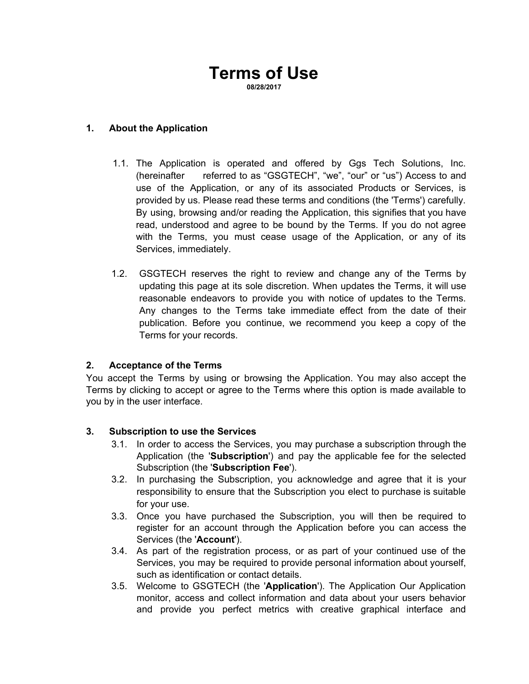# **Terms of Use 08/28/2017**

**1. About the Application**

- 1.1. The Application is operated and offered by Ggs Tech Solutions, Inc. (hereinafter referred to as "GSGTECH", "we", "our" or "us") Access to and use of the Application, or any of its associated Products or Services, is provided by us. Please read these terms and conditions (the 'Terms') carefully. By using, browsing and/or reading the Application, this signifies that you have read, understood and agree to be bound by the Terms. If you do not agree with the Terms, you must cease usage of the Application, or any of its Services, immediately.
- 1.2. GSGTECH reserves the right to review and change any of the Terms by updating this page at its sole discretion. When updates the Terms, it will use reasonable endeavors to provide you with notice of updates to the Terms. Any changes to the Terms take immediate effect from the date of their publication. Before you continue, we recommend you keep a copy of the Terms for your records.

#### **2. Acceptance of the Terms**

You accept the Terms by using or browsing the Application. You may also accept the Terms by clicking to accept or agree to the Terms where this option is made available to you by in the user interface.

#### **3. Subscription to use the Services**

- 3.1. In order to access the Services, you may purchase a subscription through the Application (the '**Subscription**') and pay the applicable fee for the selected Subscription (the '**Subscription Fee**').
- 3.2. In purchasing the Subscription, you acknowledge and agree that it is your responsibility to ensure that the Subscription you elect to purchase is suitable for your use.
- 3.3. Once you have purchased the Subscription, you will then be required to register for an account through the Application before you can access the Services (the '**Account**').
- 3.4. As part of the registration process, or as part of your continued use of the Services, you may be required to provide personal information about yourself, such as identification or contact details.
- 3.5. Welcome to GSGTECH (the '**Application**'). The Application Our Application monitor, access and collect information and data about your users behavior and provide you perfect metrics with creative graphical interface and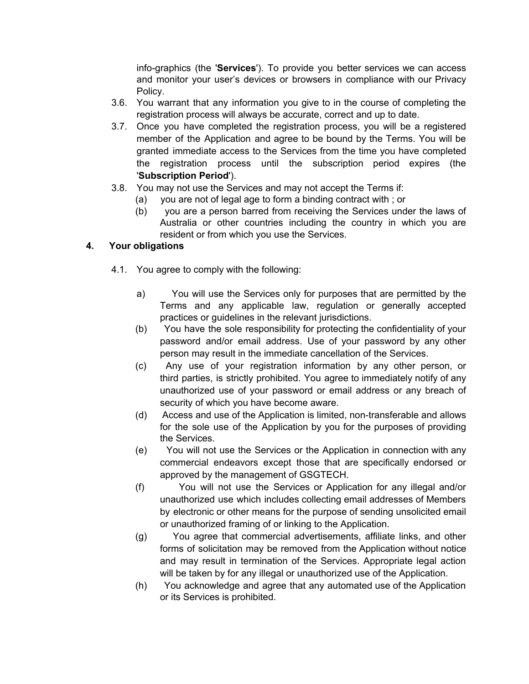info-graphics (the '**Services**'). To provide you better services we can access and monitor your user's devices or browsers in compliance with our Privacy Policy.

- 3.6. You warrant that any information you give to in the course of completing the registration process will always be accurate, correct and up to date.
- 3.7. Once you have completed the registration process, you will be a registered member of the Application and agree to be bound by the Terms. You will be granted immediate access to the Services from the time you have completed the registration process until the subscription period expires (the '**Subscription Period**').
- 3.8. You may not use the Services and may not accept the Terms if:
	- (a) you are not of legal age to form a binding contract with ; or
	- (b) you are a person barred from receiving the Services under the laws of Australia or other countries including the country in which you are resident or from which you use the Services.

### **4. Your obligations**

- 4.1. You agree to comply with the following:
	- a) You will use the Services only for purposes that are permitted by the Terms and any applicable law, regulation or generally accepted practices or guidelines in the relevant jurisdictions.
	- (b) You have the sole responsibility for protecting the confidentiality of your password and/or email address. Use of your password by any other person may result in the immediate cancellation of the Services.
	- (c) Any use of your registration information by any other person, or third parties, is strictly prohibited. You agree to immediately notify of any unauthorized use of your password or email address or any breach of security of which you have become aware.
	- (d) Access and use of the Application is limited, non-transferable and allows for the sole use of the Application by you for the purposes of providing the Services.
	- (e) You will not use the Services or the Application in connection with any commercial endeavors except those that are specifically endorsed or approved by the management of GSGTECH.
	- (f) You will not use the Services or Application for any illegal and/or unauthorized use which includes collecting email addresses of Members by electronic or other means for the purpose of sending unsolicited email or unauthorized framing of or linking to the Application.
	- (g) You agree that commercial advertisements, affiliate links, and other forms of solicitation may be removed from the Application without notice and may result in termination of the Services. Appropriate legal action will be taken by for any illegal or unauthorized use of the Application.
	- (h) You acknowledge and agree that any automated use of the Application or its Services is prohibited.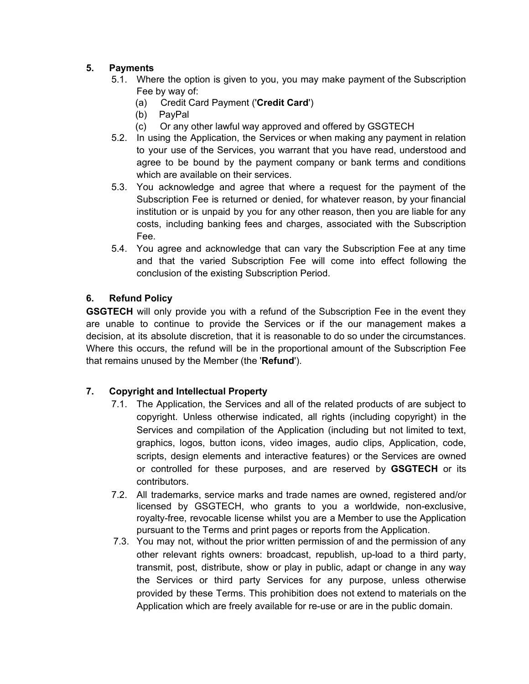## **5. Payments**

- 5.1. Where the option is given to you, you may make payment of the Subscription Fee by way of:
	- (a) Credit Card Payment ('**Credit Card**')
	- PayPal
	- (c) Or any other lawful way approved and offered by GSGTECH
- 5.2. In using the Application, the Services or when making any payment in relation to your use of the Services, you warrant that you have read, understood and agree to be bound by the payment company or bank terms and conditions which are available on their services.
- 5.3. You acknowledge and agree that where a request for the payment of the Subscription Fee is returned or denied, for whatever reason, by your financial institution or is unpaid by you for any other reason, then you are liable for any costs, including banking fees and charges, associated with the Subscription Fee.
- 5.4. You agree and acknowledge that can vary the Subscription Fee at any time and that the varied Subscription Fee will come into effect following the conclusion of the existing Subscription Period.

### **6. Refund Policy**

**GSGTECH** will only provide you with a refund of the Subscription Fee in the event they are unable to continue to provide the Services or if the our management makes a decision, at its absolute discretion, that it is reasonable to do so under the circumstances. Where this occurs, the refund will be in the proportional amount of the Subscription Fee that remains unused by the Member (the '**Refund**').

### **7. Copyright and Intellectual Property**

- 7.1. The Application, the Services and all of the related products of are subject to copyright. Unless otherwise indicated, all rights (including copyright) in the Services and compilation of the Application (including but not limited to text, graphics, logos, button icons, video images, audio clips, Application, code, scripts, design elements and interactive features) or the Services are owned or controlled for these purposes, and are reserved by **GSGTECH** or its contributors.
- 7.2. All trademarks, service marks and trade names are owned, registered and/or licensed by GSGTECH, who grants to you a worldwide, non-exclusive, royalty-free, revocable license whilst you are a Member to use the Application pursuant to the Terms and print pages or reports from the Application.
- 7.3. You may not, without the prior written permission of and the permission of any other relevant rights owners: broadcast, republish, up-load to a third party, transmit, post, distribute, show or play in public, adapt or change in any way the Services or third party Services for any purpose, unless otherwise provided by these Terms. This prohibition does not extend to materials on the Application which are freely available for re-use or are in the public domain.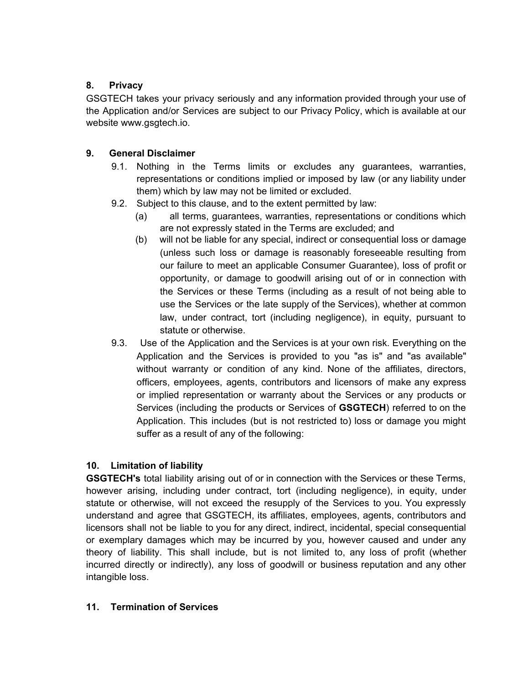## **8. Privacy**

GSGTECH takes your privacy seriously and any information provided through your use of the Application and/or Services are subject to our Privacy Policy, which is available at our website www.gsgtech.io.

## **9. General Disclaimer**

- 9.1. Nothing in the Terms limits or excludes any guarantees, warranties, representations or conditions implied or imposed by law (or any liability under them) which by law may not be limited or excluded.
- 9.2. Subject to this clause, and to the extent permitted by law:
	- (a) all terms, guarantees, warranties, representations or conditions which are not expressly stated in the Terms are excluded; and
	- (b) will not be liable for any special, indirect or consequential loss or damage (unless such loss or damage is reasonably foreseeable resulting from our failure to meet an applicable Consumer Guarantee), loss of profit or opportunity, or damage to goodwill arising out of or in connection with the Services or these Terms (including as a result of not being able to use the Services or the late supply of the Services), whether at common law, under contract, tort (including negligence), in equity, pursuant to statute or otherwise.
- 9.3. Use of the Application and the Services is at your own risk. Everything on the Application and the Services is provided to you "as is" and "as available" without warranty or condition of any kind. None of the affiliates, directors, officers, employees, agents, contributors and licensors of make any express or implied representation or warranty about the Services or any products or Services (including the products or Services of **GSGTECH**) referred to on the Application. This includes (but is not restricted to) loss or damage you might suffer as a result of any of the following:

## **10. Limitation of liability**

**GSGTECH's** total liability arising out of or in connection with the Services or these Terms, however arising, including under contract, tort (including negligence), in equity, under statute or otherwise, will not exceed the resupply of the Services to you. You expressly understand and agree that GSGTECH, its affiliates, employees, agents, contributors and licensors shall not be liable to you for any direct, indirect, incidental, special consequential or exemplary damages which may be incurred by you, however caused and under any theory of liability. This shall include, but is not limited to, any loss of profit (whether incurred directly or indirectly), any loss of goodwill or business reputation and any other intangible loss.

### **11. Termination of Services**